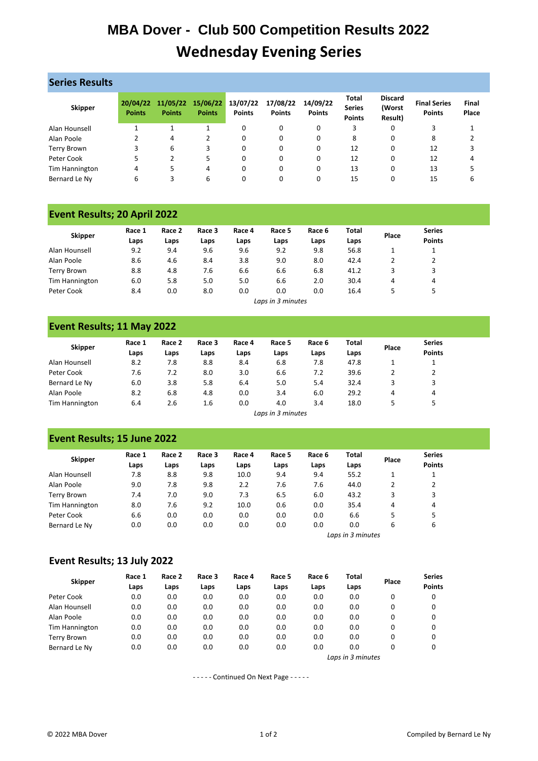# **MBA Dover - Club 500 Competition Results 2022 Wednesday Evening Series**

| <b>Series Results</b> |                           |                           |                           |                           |                           |                           |                                                |                                     |                                      |                |
|-----------------------|---------------------------|---------------------------|---------------------------|---------------------------|---------------------------|---------------------------|------------------------------------------------|-------------------------------------|--------------------------------------|----------------|
| <b>Skipper</b>        | 20/04/22<br><b>Points</b> | 11/05/22<br><b>Points</b> | 15/06/22<br><b>Points</b> | 13/07/22<br><b>Points</b> | 17/08/22<br><b>Points</b> | 14/09/22<br><b>Points</b> | <b>Total</b><br><b>Series</b><br><b>Points</b> | <b>Discard</b><br>(Worst<br>Result) | <b>Final Series</b><br><b>Points</b> | Final<br>Place |
| Alan Hounsell         |                           |                           |                           | 0                         | 0                         | 0                         | 3                                              | 0                                   | 3                                    |                |
| Alan Poole            |                           | 4                         |                           | 0                         | 0                         | 0                         | 8                                              | 0                                   | 8                                    |                |
| Terry Brown           | 3                         | 6                         | 3                         | 0                         | 0                         | 0                         | 12                                             | 0                                   | 12                                   |                |
| Peter Cook            |                           |                           | 5                         | 0                         | 0                         | 0                         | 12                                             | 0                                   | 12                                   | 4              |
| Tim Hannington        | 4                         | 5                         | 4                         | 0                         | 0                         | 0                         | 13                                             | 0                                   | 13                                   |                |
| Bernard Le Ny         | 6                         |                           | 6                         |                           |                           | 0                         | 15                                             |                                     | 15                                   | 6              |

### **Event Results; 20 April 2022**

| <b>Skipper</b> | Race 1<br>Laps | Race 2<br>Laps | Race 3<br>Laps | Race 4<br>Laps | Race 5<br>Laps | Race 6<br>Laps | Total<br>Laps | Place | <b>Series</b><br><b>Points</b> |
|----------------|----------------|----------------|----------------|----------------|----------------|----------------|---------------|-------|--------------------------------|
| Alan Hounsell  | 9.2            | 9.4            | 9.6            | 9.6            | 9.2            | 9.8            | 56.8          |       |                                |
| Alan Poole     | 8.6            | 4.6            | 8.4            | 3.8            | 9.0            | 8.0            | 42.4          |       |                                |
| Terry Brown    | 8.8            | 4.8            | 7.6            | 6.6            | 6.6            | 6.8            | 41.2          |       | 3                              |
| Tim Hannington | 6.0            | 5.8            | 5.0            | 5.0            | 6.6            | 2.0            | 30.4          | 4     | 4                              |
| Peter Cook     | 8.4            | 0.0            | 8.0            | 0.0            | 0.0            | 0.0            | 16.4          |       | 5                              |

*Laps in 3 minutes*

### **Event Results; 11 May 2022**

| <b>Skipper</b> | Race 1<br>Laps | Race 2<br>Laps | Race 3<br>Laps | Race 4<br>Laps | Race 5<br>Laps | Race 6<br>Laps | <b>Total</b><br>Laps | Place | <b>Series</b><br><b>Points</b> |
|----------------|----------------|----------------|----------------|----------------|----------------|----------------|----------------------|-------|--------------------------------|
| Alan Hounsell  | 8.2            | 7.8            | 8.8            | 8.4            | 6.8            | 7.8            | 47.8                 |       |                                |
| Peter Cook     | 7.6            | 7.2            | 8.0            | 3.0            | 6.6            | 7.2            | 39.6                 |       |                                |
| Bernard Le Ny  | 6.0            | 3.8            | 5.8            | 6.4            | 5.0            | 5.4            | 32.4                 |       | 3                              |
| Alan Poole     | 8.2            | 6.8            | 4.8            | 0.0            | 3.4            | 6.0            | 29.2                 | 4     | 4                              |
| Tim Hannington | 6.4            | 2.6            | 1.6            | 0.0            | 4.0            | 3.4            | 18.0                 |       |                                |

*Laps in 3 minutes*

## **Event Results; 15 June 2022**

| <b>Skipper</b>     | Race 1 | Race 2 | Race 3 | Race 4 | Race 5 | Race 6 | Total             |       | <b>Series</b> |
|--------------------|--------|--------|--------|--------|--------|--------|-------------------|-------|---------------|
|                    | Laps   | Laps   | Laps   | Laps   | Laps   | Laps   | Laps              | Place | <b>Points</b> |
| Alan Hounsell      | 7.8    | 8.8    | 9.8    | 10.0   | 9.4    | 9.4    | 55.2              |       |               |
| Alan Poole         | 9.0    | 7.8    | 9.8    | 2.2    | 7.6    | 7.6    | 44.0              |       | 2             |
| <b>Terry Brown</b> | 7.4    | 7.0    | 9.0    | 7.3    | 6.5    | 6.0    | 43.2              |       | 3             |
| Tim Hannington     | 8.0    | 7.6    | 9.2    | 10.0   | 0.6    | 0.0    | 35.4              | 4     | 4             |
| Peter Cook         | 6.6    | 0.0    | 0.0    | 0.0    | 0.0    | 0.0    | 6.6               | 5     | 5             |
| Bernard Le Ny      | 0.0    | 0.0    | 0.0    | 0.0    | 0.0    | 0.0    | 0.0               | 6     | 6             |
|                    |        |        |        |        |        |        | Laps in 3 minutes |       |               |

#### **Event Results; 13 July 2022**

| <b>Skipper</b> | Race 1 | Race 2 | Race 3 | Race 4 | Race 5            | Race 6 | <b>Total</b> | Place | <b>Series</b> |  |  |
|----------------|--------|--------|--------|--------|-------------------|--------|--------------|-------|---------------|--|--|
|                | Laps   | Laps   | Laps   | Laps   | Laps              | Laps   | Laps         |       | <b>Points</b> |  |  |
| Peter Cook     | 0.0    | 0.0    | 0.0    | 0.0    | 0.0               | 0.0    | 0.0          | 0     | 0             |  |  |
| Alan Hounsell  | 0.0    | 0.0    | 0.0    | 0.0    | 0.0               | 0.0    | 0.0          | 0     | 0             |  |  |
| Alan Poole     | 0.0    | 0.0    | 0.0    | 0.0    | 0.0               | 0.0    | 0.0          | 0     | 0             |  |  |
| Tim Hannington | 0.0    | 0.0    | 0.0    | 0.0    | 0.0               | 0.0    | 0.0          | 0     | 0             |  |  |
| Terry Brown    | 0.0    | 0.0    | 0.0    | 0.0    | 0.0               | 0.0    | 0.0          | 0     | 0             |  |  |
| Bernard Le Nv  | 0.0    | 0.0    | 0.0    | 0.0    | 0.0               | 0.0    | 0.0          | 0     | 0             |  |  |
|                |        |        |        |        | Laps in 3 minutes |        |              |       |               |  |  |

- - - - - Continued On Next Page - - - - -